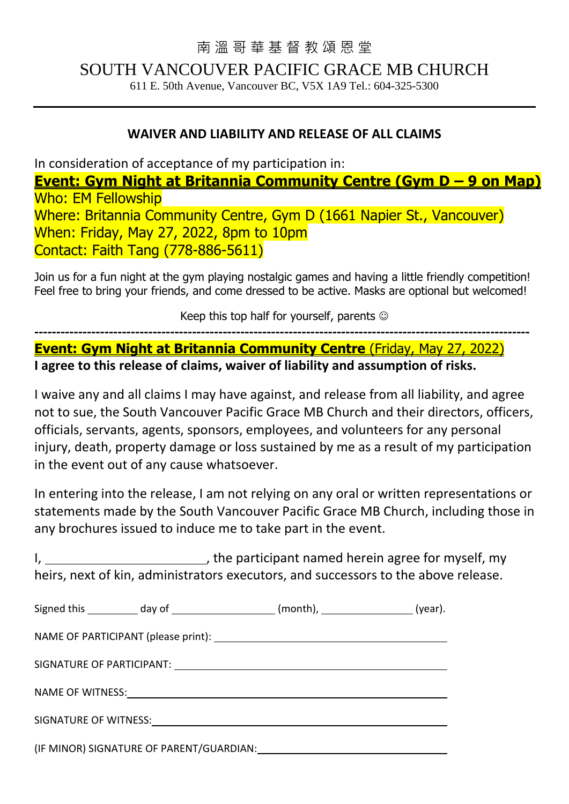## 南 溫 哥 華 基 督 教 頌 恩 堂

SOUTH VANCOUVER PACIFIC GRACE MB CHURCH

611 E. 50th Avenue, Vancouver BC, V5X 1A9 Tel.: 604-325-5300

## **WAIVER AND LIABILITY AND RELEASE OF ALL CLAIMS**

In consideration of acceptance of my participation in:

**Event: Gym Night at Britannia Community Centre (Gym D – 9 on Map)** Who: EM Fellowship Where: Britannia Community Centre, Gym D (1661 Napier St., Vancouver) When: Friday, May 27, 2022, 8pm to 10pm Contact: Faith Tang (778-886-5611)

Join us for a fun night at the gym playing nostalgic games and having a little friendly competition! Feel free to bring your friends, and come dressed to be active. Masks are optional but welcomed!

Keep this top half for yourself, parents  $\odot$ 

**----------------------------------------------------------------------------------------------------------------- Event: Gym Night at Britannia Community Centre** (Friday, May 27, 2022) **I agree to this release of claims, waiver of liability and assumption of risks.**

I waive any and all claims I may have against, and release from all liability, and agree not to sue, the South Vancouver Pacific Grace MB Church and their directors, officers, officials, servants, agents, sponsors, employees, and volunteers for any personal injury, death, property damage or loss sustained by me as a result of my participation in the event out of any cause whatsoever.

In entering into the release, I am not relying on any oral or written representations or statements made by the South Vancouver Pacific Grace MB Church, including those in any brochures issued to induce me to take part in the event.

I, 1. The participant named herein agree for myself, my heirs, next of kin, administrators executors, and successors to the above release.

|  | (year). |
|--|---------|
|  |         |
|  |         |
|  |         |
|  |         |
|  |         |